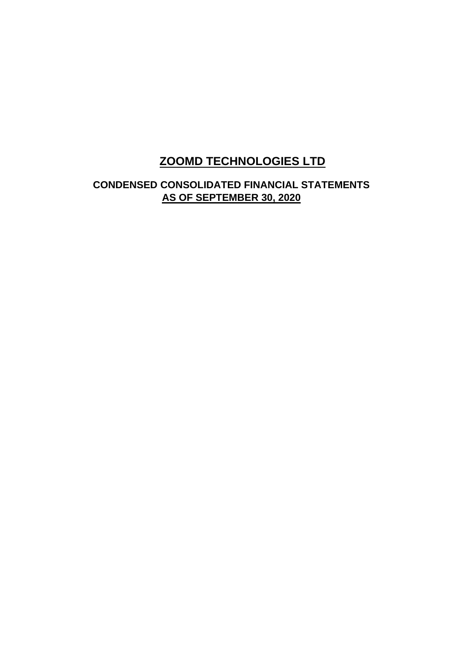# **ZOOMD TECHNOLOGIES LTD**

# **CONDENSED CONSOLIDATED FINANCIAL STATEMENTS AS OF SEPTEMBER 30, 2020**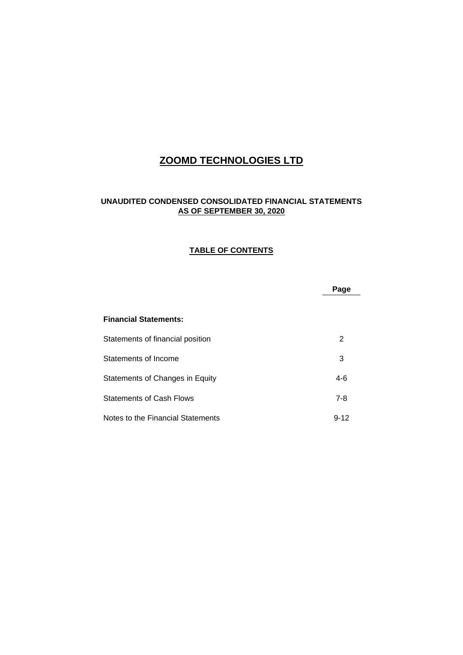# **ZOOMD TECHNOLOGIES LTD**

## **UNAUDITED CONDENSED CONSOLIDATED FINANCIAL STATEMENTS AS OF SEPTEMBER 30, 2020**

#### **TABLE OF CONTENTS**

|                                   | Page     |
|-----------------------------------|----------|
|                                   |          |
| <b>Financial Statements:</b>      |          |
| Statements of financial position  | 2        |
| Statements of Income              | 3        |
| Statements of Changes in Equity   | $4-6$    |
| <b>Statements of Cash Flows</b>   | $7 - 8$  |
| Notes to the Financial Statements | $9 - 12$ |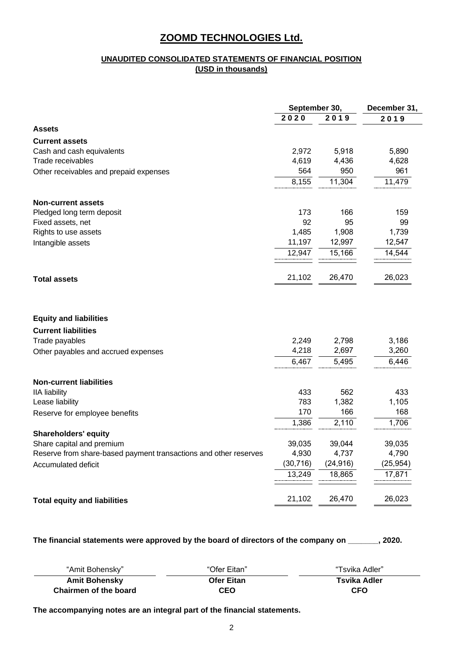### **UNAUDITED CONSOLIDATED STATEMENTS OF FINANCIAL POSITION (USD in thousands)**

|                                                                  | September 30, |           | December 31, |  |
|------------------------------------------------------------------|---------------|-----------|--------------|--|
|                                                                  | 2020          | 2019      | 2019         |  |
| <b>Assets</b>                                                    |               |           |              |  |
| <b>Current assets</b>                                            |               |           |              |  |
| Cash and cash equivalents                                        | 2,972         | 5,918     | 5,890        |  |
| Trade receivables                                                | 4,619         | 4,436     | 4,628        |  |
| Other receivables and prepaid expenses                           | 564           | 950       | 961          |  |
|                                                                  | 8,155         | 11,304    | 11,479       |  |
| <b>Non-current assets</b>                                        |               |           |              |  |
| Pledged long term deposit                                        | 173           | 166       | 159          |  |
| Fixed assets, net                                                | 92            | 95        | 99           |  |
| Rights to use assets                                             | 1,485         | 1,908     | 1,739        |  |
| Intangible assets                                                | 11,197        | 12,997    | 12,547       |  |
|                                                                  | 12,947        | 15,166    | 14,544       |  |
| <b>Total assets</b>                                              | 21,102        | 26,470    | 26,023       |  |
| <b>Equity and liabilities</b>                                    |               |           |              |  |
| <b>Current liabilities</b>                                       |               |           |              |  |
| Trade payables                                                   | 2,249         | 2,798     | 3,186        |  |
| Other payables and accrued expenses                              | 4,218         | 2,697     | 3,260        |  |
|                                                                  | 6,467         | 5,495     | 6,446        |  |
| <b>Non-current liabilities</b>                                   |               |           |              |  |
| <b>IIA</b> liability                                             | 433           | 562       | 433          |  |
| Lease liability                                                  | 783           | 1,382     | 1,105        |  |
| Reserve for employee benefits                                    | 170           | 166       | 168          |  |
|                                                                  | 1,386         | 2,110     | 1,706        |  |
| <b>Shareholders' equity</b>                                      |               |           |              |  |
| Share capital and premium                                        | 39,035        | 39,044    | 39,035       |  |
| Reserve from share-based payment transactions and other reserves | 4,930         | 4,737     | 4,790        |  |
| Accumulated deficit                                              | (30, 716)     | (24, 916) | (25, 954)    |  |
|                                                                  | 13,249        | 18,865    | 17,871       |  |
| <b>Total equity and liabilities</b>                              | 21,102        | 26,470    | 26,023       |  |

**The financial statements were approved by the board of directors of the company on \_\_\_\_\_\_\_, 2020.**

| "Amit Bohensky"       | "Ofer Eitan"      | "Tsvika Adler" |
|-----------------------|-------------------|----------------|
| <b>Amit Bohensky</b>  | <b>Ofer Eitan</b> | Tsvika Adler   |
| Chairmen of the board | CEO               | <b>CFO</b>     |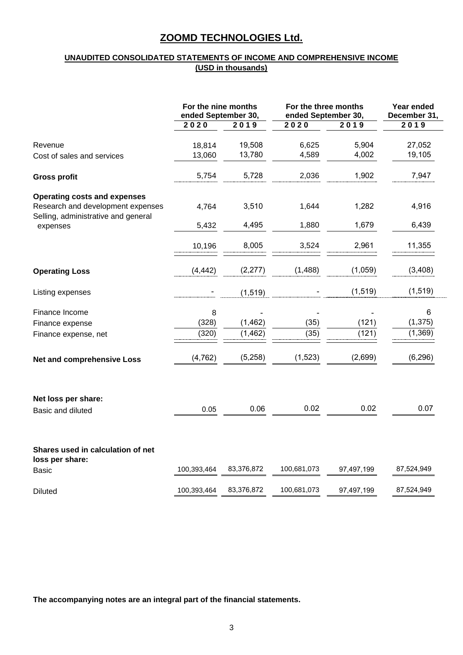### **UNAUDITED CONSOLIDATED STATEMENTS OF INCOME AND COMPREHENSIVE INCOME (USD in thousands)**

|                                                                          | For the nine months<br>ended September 30, |            | For the three months<br>ended September 30, | Year ended<br>December 31, |            |
|--------------------------------------------------------------------------|--------------------------------------------|------------|---------------------------------------------|----------------------------|------------|
|                                                                          | 2020                                       | 2019       | 2020                                        | 2019                       | 2019       |
| Revenue                                                                  | 18,814                                     | 19,508     | 6,625                                       | 5,904                      | 27,052     |
| Cost of sales and services                                               | 13,060                                     | 13,780     | 4,589                                       | 4,002                      | 19,105     |
|                                                                          |                                            |            |                                             |                            |            |
| <b>Gross profit</b>                                                      | 5,754                                      | 5,728      | 2,036                                       | 1,902                      | 7,947      |
| <b>Operating costs and expenses</b>                                      |                                            |            |                                             |                            |            |
| Research and development expenses<br>Selling, administrative and general | 4,764                                      | 3,510      | 1,644                                       | 1,282                      | 4,916      |
| expenses                                                                 | 5,432                                      | 4,495      | 1,880                                       | 1,679                      | 6,439      |
|                                                                          | 10,196                                     | 8,005      | 3,524                                       | 2,961                      | 11,355     |
| <b>Operating Loss</b>                                                    | (4, 442)                                   | (2, 277)   | (1,488)                                     | (1,059)                    | (3,408)    |
| Listing expenses                                                         |                                            | (1, 519)   |                                             | (1, 519)                   | (1, 519)   |
| Finance Income                                                           | 8                                          |            |                                             |                            | 6          |
| Finance expense                                                          | (328)                                      | (1, 462)   | (35)                                        | (121)                      | (1, 375)   |
| Finance expense, net                                                     | (320)                                      | (1, 462)   | (35)                                        | (121)                      | (1, 369)   |
| <b>Net and comprehensive Loss</b>                                        | (4, 762)                                   | (5,258)    | (1,523)                                     | (2,699)                    | (6, 296)   |
| Net loss per share:                                                      |                                            |            |                                             |                            |            |
| Basic and diluted                                                        | 0.05                                       | 0.06       | 0.02                                        | 0.02                       | 0.07       |
| Shares used in calculation of net<br>loss per share:                     |                                            |            |                                             |                            |            |
| <b>Basic</b>                                                             | 100,393,464                                | 83,376,872 | 100,681,073                                 | 97,497,199                 | 87,524,949 |
| Diluted                                                                  | 100,393,464                                | 83,376,872 | 100,681,073                                 | 97,497,199                 | 87,524,949 |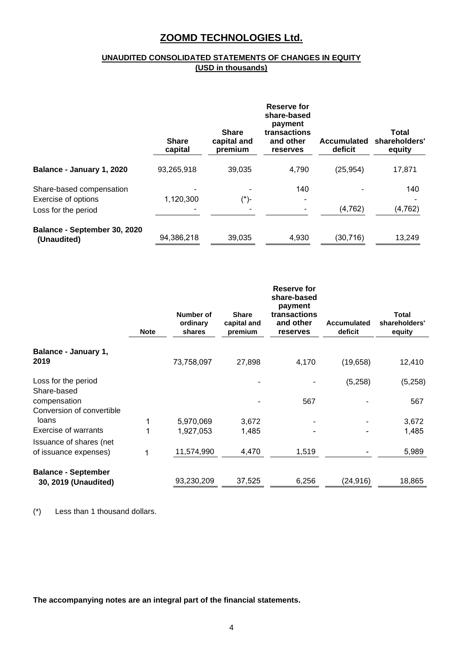## **UNAUDITED CONSOLIDATED STATEMENTS OF CHANGES IN EQUITY (USD in thousands)**

|                              | <b>Share</b><br>capital | <b>Share</b><br>capital and<br>premium | Reserve for<br>share-based<br>payment<br>transactions<br>and other<br><b>reserves</b> | <b>Accumulated</b><br>deficit | <b>Total</b><br>shareholders'<br>equity |
|------------------------------|-------------------------|----------------------------------------|---------------------------------------------------------------------------------------|-------------------------------|-----------------------------------------|
| Balance - January 1, 2020    | 93,265,918              | 39.035                                 | 4,790                                                                                 | (25, 954)                     | 17,871                                  |
| Share-based compensation     |                         |                                        | 140                                                                                   |                               | 140                                     |
| Exercise of options          | 1,120,300               | (*)-                                   |                                                                                       |                               |                                         |
| Loss for the period          |                         |                                        |                                                                                       | (4, 762)                      | (4, 762)                                |
| Balance - September 30, 2020 |                         |                                        |                                                                                       |                               |                                         |
| (Unaudited)                  | 94,386,218              | 39,035                                 | 4,930                                                                                 | (30, 716)                     | 13,249                                  |

|                                           | <b>Note</b> | Number of<br>ordinary<br>shares | <b>Share</b><br>capital and<br>premium | Reserve for<br>share-based<br>payment<br>transactions<br>and other<br>reserves | <b>Accumulated</b><br>deficit | <b>Total</b><br>shareholders'<br>equity |
|-------------------------------------------|-------------|---------------------------------|----------------------------------------|--------------------------------------------------------------------------------|-------------------------------|-----------------------------------------|
| Balance - January 1,<br>2019              |             | 73,758,097                      | 27,898                                 | 4,170                                                                          | (19,658)                      | 12,410                                  |
|                                           |             |                                 |                                        |                                                                                |                               |                                         |
| Loss for the period                       |             |                                 |                                        |                                                                                | (5,258)                       | (5,258)                                 |
| Share-based                               |             |                                 |                                        |                                                                                |                               |                                         |
| compensation<br>Conversion of convertible |             |                                 |                                        | 567                                                                            |                               | 567                                     |
| loans                                     |             | 5,970,069                       | 3,672                                  |                                                                                |                               | 3,672                                   |
| <b>Exercise of warrants</b>               |             | 1,927,053                       | 1,485                                  |                                                                                |                               | 1,485                                   |
| Issuance of shares (net                   |             |                                 |                                        |                                                                                |                               |                                         |
| of issuance expenses)                     | 1           | 11,574,990                      | 4,470                                  | 1,519                                                                          |                               | 5,989                                   |
| <b>Balance - September</b>                |             |                                 |                                        |                                                                                |                               |                                         |
| 30, 2019 (Unaudited)                      |             | 93,230,209                      | 37,525                                 | 6,256                                                                          | (24, 916)                     | 18,865                                  |

(\*) Less than 1 thousand dollars.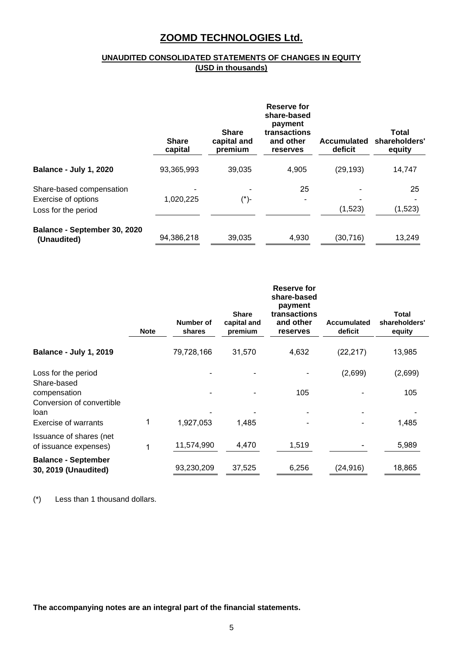## **UNAUDITED CONSOLIDATED STATEMENTS OF CHANGES IN EQUITY (USD in thousands)**

|                                                                        | <b>Share</b><br>capital | <b>Share</b><br>capital and<br>premium | Reserve for<br>share-based<br>payment<br>transactions<br>and other<br><b>reserves</b> | <b>Accumulated</b><br>deficit | Total<br>shareholders'<br>equity |
|------------------------------------------------------------------------|-------------------------|----------------------------------------|---------------------------------------------------------------------------------------|-------------------------------|----------------------------------|
| <b>Balance - July 1, 2020</b>                                          | 93,365,993              | 39,035                                 | 4,905                                                                                 | (29, 193)                     | 14,747                           |
| Share-based compensation<br>Exercise of options<br>Loss for the period | 1,020,225               | (*)-                                   | 25                                                                                    | (1,523)                       | 25<br>(1,523)                    |
| Balance - September 30, 2020<br>(Unaudited)                            | 94,386,218              | 39,035                                 | 4,930                                                                                 | (30, 716)                     | 13,249                           |

|                                                                           | <b>Note</b> | Number of<br>shares     | <b>Share</b><br>capital and<br>premium | Reserve for<br>share-based<br>payment<br>transactions<br>and other<br>reserves | <b>Accumulated</b><br>deficit | Total<br>shareholders'<br>equity |
|---------------------------------------------------------------------------|-------------|-------------------------|----------------------------------------|--------------------------------------------------------------------------------|-------------------------------|----------------------------------|
| <b>Balance - July 1, 2019</b>                                             |             | 79,728,166              | 31,570                                 | 4,632                                                                          | (22, 217)                     | 13,985                           |
| Loss for the period<br>Share-based                                        |             |                         |                                        |                                                                                | (2,699)                       | (2,699)                          |
| compensation<br>Conversion of convertible<br>loan<br>Exercise of warrants |             |                         |                                        | 105                                                                            |                               | 105                              |
| Issuance of shares (net<br>of issuance expenses)                          |             | 1,927,053<br>11,574,990 | 1,485<br>4,470                         | 1,519                                                                          |                               | 1,485<br>5,989                   |
| <b>Balance - September</b><br>30, 2019 (Unaudited)                        |             | 93,230,209              | 37,525                                 | 6,256                                                                          | (24, 916)                     | 18,865                           |

(\*) Less than 1 thousand dollars.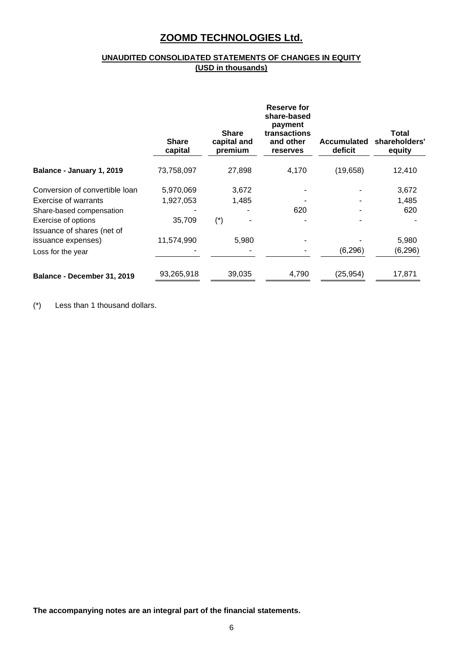## **UNAUDITED CONSOLIDATED STATEMENTS OF CHANGES IN EQUITY (USD in thousands)**

|                                                   | <b>Share</b><br>capital | <b>Share</b><br>capital and<br>premium | Reserve for<br>share-based<br>payment<br>transactions<br>and other<br>reserves | <b>Accumulated</b><br>deficit | Total<br>shareholders'<br>equity |
|---------------------------------------------------|-------------------------|----------------------------------------|--------------------------------------------------------------------------------|-------------------------------|----------------------------------|
| Balance - January 1, 2019                         | 73,758,097              | 27,898                                 | 4,170                                                                          | (19,658)                      | 12,410                           |
| Conversion of convertible loan                    | 5,970,069               | 3,672                                  |                                                                                |                               | 3,672                            |
| Exercise of warrants                              | 1,927,053               | 1,485                                  |                                                                                |                               | 1,485                            |
| Share-based compensation                          |                         |                                        | 620                                                                            |                               | 620                              |
| Exercise of options<br>Issuance of shares (net of | 35,709                  | $(\dot{\phantom{a}})$                  |                                                                                |                               |                                  |
| issuance expenses)                                | 11,574,990              | 5.980                                  |                                                                                |                               | 5,980                            |
| Loss for the year                                 |                         |                                        |                                                                                | (6, 296)                      | (6, 296)                         |
| Balance - December 31, 2019                       | 93,265,918              | 39,035                                 | 4,790                                                                          | (25, 954)                     | 17,871                           |

(\*) Less than 1 thousand dollars.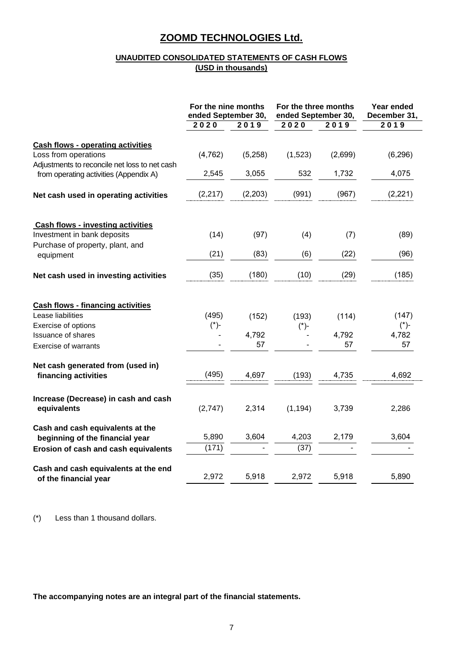## **UNAUDITED CONSOLIDATED STATEMENTS OF CASH FLOWS (USD in thousands)**

|                                                          | For the nine months<br>ended September 30, |               | For the three months<br>ended September 30, |         | Year ended<br>December 31, |
|----------------------------------------------------------|--------------------------------------------|---------------|---------------------------------------------|---------|----------------------------|
|                                                          | 2020                                       | $\sqrt{2}019$ | 2020                                        | 2019    | 2019                       |
| <b>Cash flows - operating activities</b>                 |                                            |               |                                             |         |                            |
| Loss from operations                                     | (4, 762)                                   | (5,258)       | (1,523)                                     | (2,699) | (6, 296)                   |
| Adjustments to reconcile net loss to net cash            |                                            |               |                                             |         |                            |
| from operating activities (Appendix A)                   | 2,545                                      | 3,055         | 532                                         | 1,732   | 4,075                      |
| Net cash used in operating activities                    | (2, 217)                                   | (2, 203)      | (991)                                       | (967)   | (2, 221)                   |
| <b>Cash flows - investing activities</b>                 |                                            |               |                                             |         |                            |
| Investment in bank deposits                              | (14)                                       | (97)          | (4)                                         | (7)     | (89)                       |
| Purchase of property, plant, and                         | (21)                                       | (83)          | (6)                                         | (22)    | (96)                       |
| equipment                                                |                                            |               |                                             |         |                            |
| Net cash used in investing activities                    | (35)                                       | (180)         | (10)                                        | (29)    | (185)                      |
| <b>Cash flows - financing activities</b>                 |                                            |               |                                             |         |                            |
| Lease liabilities                                        | (495)                                      | (152)         | (193)                                       | (114)   | (147)                      |
| Exercise of options                                      | $(*)$ -                                    |               | $(*)$ -                                     | 4,792   | $(*)$ -                    |
| <b>Issuance of shares</b><br><b>Exercise of warrants</b> |                                            | 4,792<br>57   |                                             | 57      | 4,782<br>57                |
|                                                          |                                            |               |                                             |         |                            |
| Net cash generated from (used in)                        |                                            |               |                                             |         |                            |
| financing activities                                     | (495)                                      | 4,697         | (193)                                       | 4,735   | 4,692                      |
| Increase (Decrease) in cash and cash                     |                                            |               |                                             |         |                            |
| equivalents                                              | (2,747)                                    | 2,314         | (1, 194)                                    | 3,739   | 2,286                      |
| Cash and cash equivalents at the                         |                                            |               |                                             |         |                            |
| beginning of the financial year                          | 5,890                                      | 3,604         | 4,203                                       | 2,179   | 3,604                      |
| Erosion of cash and cash equivalents                     | (171)                                      |               | (37)                                        |         |                            |
| Cash and cash equivalents at the end                     |                                            |               |                                             |         |                            |
| of the financial year                                    | 2,972                                      | 5,918         | 2,972                                       | 5,918   | 5,890                      |
|                                                          |                                            |               |                                             |         |                            |

(\*) Less than 1 thousand dollars.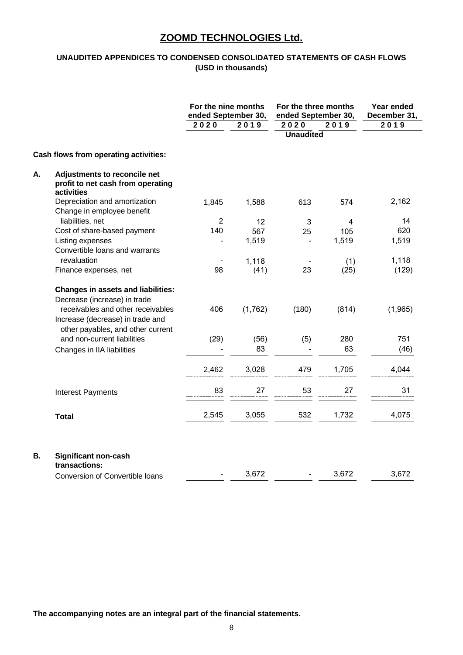## **UNAUDITED APPENDICES TO CONDENSED CONSOLIDATED STATEMENTS OF CASH FLOWS (USD in thousands)**

|    |                                                                                                                                                                                         | For the nine months<br>ended September 30, |         | For the three months<br>ended September 30, | Year ended<br>December 31, |         |
|----|-----------------------------------------------------------------------------------------------------------------------------------------------------------------------------------------|--------------------------------------------|---------|---------------------------------------------|----------------------------|---------|
|    |                                                                                                                                                                                         | 2020                                       | 2019    | 2020                                        | 2019                       | 2019    |
|    |                                                                                                                                                                                         |                                            |         | <b>Unaudited</b>                            |                            |         |
|    | Cash flows from operating activities:                                                                                                                                                   |                                            |         |                                             |                            |         |
| Α. | Adjustments to reconcile net<br>profit to net cash from operating<br>activities                                                                                                         |                                            |         |                                             |                            |         |
|    | Depreciation and amortization<br>Change in employee benefit                                                                                                                             | 1,845                                      | 1,588   | 613                                         | 574                        | 2,162   |
|    | liabilities, net                                                                                                                                                                        | $\overline{2}$                             | 12      | 3                                           | 4                          | 14      |
|    | Cost of share-based payment                                                                                                                                                             | 140                                        | 567     | 25                                          | 105                        | 620     |
|    | Listing expenses                                                                                                                                                                        |                                            | 1,519   |                                             | 1,519                      | 1,519   |
|    | Convertible loans and warrants                                                                                                                                                          |                                            |         |                                             |                            |         |
|    | revaluation                                                                                                                                                                             |                                            | 1,118   |                                             | (1)                        | 1,118   |
|    | Finance expenses, net                                                                                                                                                                   | 98                                         | (41)    | 23                                          | (25)                       | (129)   |
|    | <b>Changes in assets and liabilities:</b><br>Decrease (increase) in trade<br>receivables and other receivables<br>Increase (decrease) in trade and<br>other payables, and other current | 406                                        | (1,762) | (180)                                       | (814)                      | (1,965) |
|    | and non-current liabilities                                                                                                                                                             | (29)                                       | (56)    | (5)                                         | 280                        | 751     |
|    | Changes in IIA liabilities                                                                                                                                                              |                                            | 83      |                                             | 63                         | (46)    |
|    |                                                                                                                                                                                         |                                            |         |                                             |                            |         |
|    |                                                                                                                                                                                         | 2,462                                      | 3,028   | 479                                         | 1,705                      | 4,044   |
|    | <b>Interest Payments</b>                                                                                                                                                                | 83                                         | 27      | 53                                          | 27                         | 31      |
|    | <b>Total</b>                                                                                                                                                                            | 2,545                                      | 3,055   | 532                                         | 1,732                      | 4,075   |
| В. | <b>Significant non-cash</b><br>transactions:                                                                                                                                            |                                            |         |                                             |                            |         |
|    | Conversion of Convertible loans                                                                                                                                                         |                                            | 3,672   | $\overline{\phantom{a}}$                    | 3,672                      | 3,672   |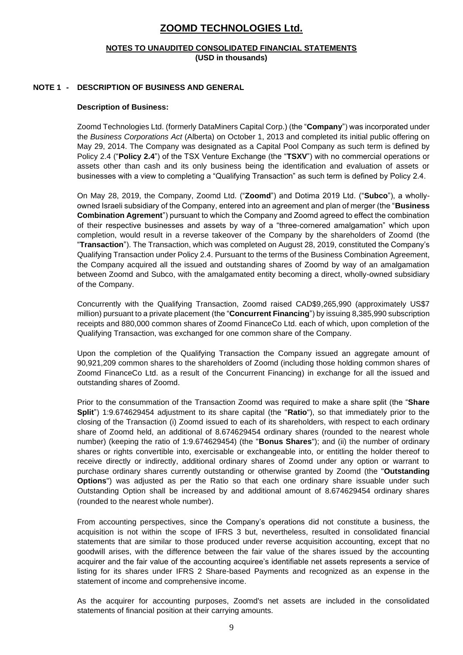#### **NOTES TO UNAUDITED CONSOLIDATED FINANCIAL STATEMENTS (USD in thousands)**

#### **NOTE 1 - DESCRIPTION OF BUSINESS AND GENERAL**

#### **Description of Business:**

Zoomd Technologies Ltd. (formerly DataMiners Capital Corp.) (the "**Company**") was incorporated under the *Business Corporations Act* (Alberta) on October 1, 2013 and completed its initial public offering on May 29, 2014. The Company was designated as a Capital Pool Company as such term is defined by Policy 2.4 ("**Policy 2.4**") of the TSX Venture Exchange (the "**TSXV**") with no commercial operations or assets other than cash and its only business being the identification and evaluation of assets or businesses with a view to completing a "Qualifying Transaction" as such term is defined by Policy 2.4.

On May 28, 2019, the Company, Zoomd Ltd. ("**Zoomd**") and Dotima 2019 Ltd. ("**Subco**"), a whollyowned Israeli subsidiary of the Company, entered into an agreement and plan of merger (the "**Business Combination Agrement**") pursuant to which the Company and Zoomd agreed to effect the combination of their respective businesses and assets by way of a "three-cornered amalgamation" which upon completion, would result in a reverse takeover of the Company by the shareholders of Zoomd (the "**Transaction**"). The Transaction, which was completed on August 28, 2019, constituted the Company's Qualifying Transaction under Policy 2.4. Pursuant to the terms of the Business Combination Agreement, the Company acquired all the issued and outstanding shares of Zoomd by way of an amalgamation between Zoomd and Subco, with the amalgamated entity becoming a direct, wholly-owned subsidiary of the Company.

Concurrently with the Qualifying Transaction, Zoomd raised CAD\$9,265,990 (approximately US\$7 million) pursuant to a private placement (the "**Concurrent Financing**") by issuing 8,385,990 subscription receipts and 880,000 common shares of Zoomd FinanceCo Ltd. each of which, upon completion of the Qualifying Transaction, was exchanged for one common share of the Company.

Upon the completion of the Qualifying Transaction the Company issued an aggregate amount of 90,921,209 common shares to the shareholders of Zoomd (including those holding common shares of Zoomd FinanceCo Ltd. as a result of the Concurrent Financing) in exchange for all the issued and outstanding shares of Zoomd.

Prior to the consummation of the Transaction Zoomd was required to make a share split (the "**Share Split**") 1:9.674629454 adjustment to its share capital (the "**Ratio**"), so that immediately prior to the closing of the Transaction (i) Zoomd issued to each of its shareholders, with respect to each ordinary share of Zoomd held, an additional of 8.674629454 ordinary shares (rounded to the nearest whole number) (keeping the ratio of 1:9.674629454) (the "**Bonus Shares**"); and (ii) the number of ordinary shares or rights convertible into, exercisable or exchangeable into, or entitling the holder thereof to receive directly or indirectly, additional ordinary shares of Zoomd under any option or warrant to purchase ordinary shares currently outstanding or otherwise granted by Zoomd (the "**Outstanding Options**") was adjusted as per the Ratio so that each one ordinary share issuable under such Outstanding Option shall be increased by and additional amount of 8.674629454 ordinary shares (rounded to the nearest whole number).

From accounting perspectives, since the Company's operations did not constitute a business, the acquisition is not within the scope of IFRS 3 but, nevertheless, resulted in consolidated financial statements that are similar to those produced under reverse acquisition accounting, except that no goodwill arises, with the difference between the fair value of the shares issued by the accounting acquirer and the fair value of the accounting acquiree's identifiable net assets represents a service of listing for its shares under IFRS 2 Share-based Payments and recognized as an expense in the statement of income and comprehensive income.

As the acquirer for accounting purposes, Zoomd's net assets are included in the consolidated statements of financial position at their carrying amounts.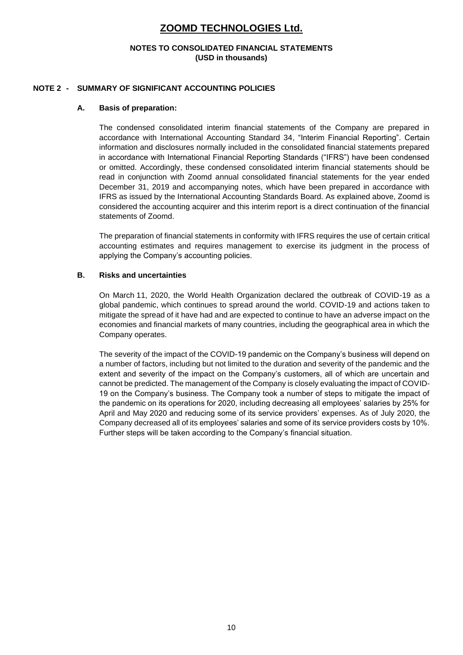#### **NOTES TO CONSOLIDATED FINANCIAL STATEMENTS (USD in thousands)**

#### **NOTE 2 - SUMMARY OF SIGNIFICANT ACCOUNTING POLICIES**

#### **A. Basis of preparation:**

The condensed consolidated interim financial statements of the Company are prepared in accordance with International Accounting Standard 34, "Interim Financial Reporting". Certain information and disclosures normally included in the consolidated financial statements prepared in accordance with International Financial Reporting Standards ("IFRS") have been condensed or omitted. Accordingly, these condensed consolidated interim financial statements should be read in conjunction with Zoomd annual consolidated financial statements for the year ended December 31, 2019 and accompanying notes, which have been prepared in accordance with IFRS as issued by the International Accounting Standards Board. As explained above, Zoomd is considered the accounting acquirer and this interim report is a direct continuation of the financial statements of Zoomd.

The preparation of financial statements in conformity with IFRS requires the use of certain critical accounting estimates and requires management to exercise its judgment in the process of applying the Company's accounting policies.

### **B. Risks and uncertainties**

On March 11, 2020, the World Health Organization declared the outbreak of COVID-19 as a global pandemic, which continues to spread around the world. COVID-19 and actions taken to mitigate the spread of it have had and are expected to continue to have an adverse impact on the economies and financial markets of many countries, including the geographical area in which the Company operates.

The severity of the impact of the COVID-19 pandemic on the Company's business will depend on a number of factors, including but not limited to the duration and severity of the pandemic and the extent and severity of the impact on the Company's customers, all of which are uncertain and cannot be predicted. The management of the Company is closely evaluating the impact of COVID-19 on the Company's business. The Company took a number of steps to mitigate the impact of the pandemic on its operations for 2020, including decreasing all employees' salaries by 25% for April and May 2020 and reducing some of its service providers' expenses. As of July 2020, the Company decreased all of its employees' salaries and some of its service providers costs by 10%. Further steps will be taken according to the Company's financial situation.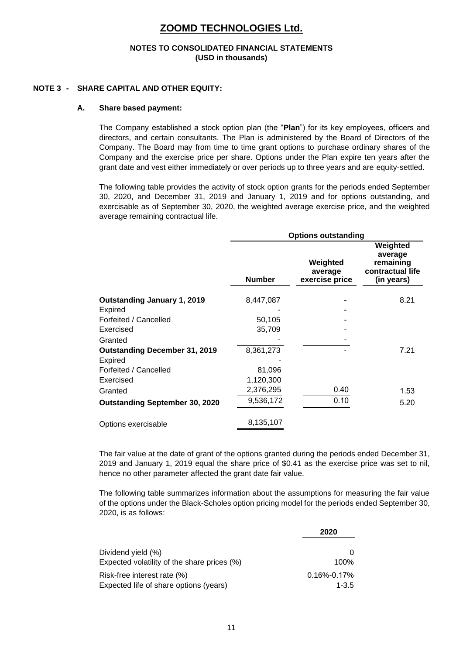#### **NOTES TO CONSOLIDATED FINANCIAL STATEMENTS (USD in thousands)**

#### **NOTE 3 - SHARE CAPITAL AND OTHER EQUITY:**

#### **A. Share based payment:**

The Company established a stock option plan (the "**Plan**") for its key employees, officers and directors, and certain consultants. The Plan is administered by the Board of Directors of the Company. The Board may from time to time grant options to purchase ordinary shares of the Company and the exercise price per share. Options under the Plan expire ten years after the grant date and vest either immediately or over periods up to three years and are equity-settled.

The following table provides the activity of stock option grants for the periods ended September 30, 2020, and December 31, 2019 and January 1, 2019 and for options outstanding, and exercisable as of September 30, 2020, the weighted average exercise price, and the weighted average remaining contractual life.

|                                       | <b>Options outstanding</b> |                                       |                                                                    |  |  |  |
|---------------------------------------|----------------------------|---------------------------------------|--------------------------------------------------------------------|--|--|--|
|                                       | <b>Number</b>              | Weighted<br>average<br>exercise price | Weighted<br>average<br>remaining<br>contractual life<br>(in years) |  |  |  |
| <b>Outstanding January 1, 2019</b>    | 8,447,087                  |                                       | 8.21                                                               |  |  |  |
| Expired                               |                            |                                       |                                                                    |  |  |  |
| Forfeited / Cancelled                 | 50,105                     |                                       |                                                                    |  |  |  |
| Exercised                             | 35,709                     |                                       |                                                                    |  |  |  |
| Granted                               |                            |                                       |                                                                    |  |  |  |
| <b>Outstanding December 31, 2019</b>  | 8,361,273                  |                                       | 7.21                                                               |  |  |  |
| Expired                               |                            |                                       |                                                                    |  |  |  |
| Forfeited / Cancelled                 | 81,096                     |                                       |                                                                    |  |  |  |
| Exercised                             | 1,120,300                  |                                       |                                                                    |  |  |  |
| Granted                               | 2,376,295                  | 0.40                                  | 1.53                                                               |  |  |  |
| <b>Outstanding September 30, 2020</b> | 9,536,172                  | 0.10                                  | 5.20                                                               |  |  |  |
| Options exercisable                   | 8,135,107                  |                                       |                                                                    |  |  |  |

The fair value at the date of grant of the options granted during the periods ended December 31, 2019 and January 1, 2019 equal the share price of \$0.41 as the exercise price was set to nil, hence no other parameter affected the grant date fair value.

The following table summarizes information about the assumptions for measuring the fair value of the options under the Black-Scholes option pricing model for the periods ended September 30, 2020, is as follows :

|                                                                       | 2020                           |
|-----------------------------------------------------------------------|--------------------------------|
| Dividend yield (%)                                                    |                                |
| Expected volatility of the share prices (%)                           | 100%                           |
| Risk-free interest rate (%)<br>Expected life of share options (years) | $0.16\% - 0.17\%$<br>$1 - 3.5$ |